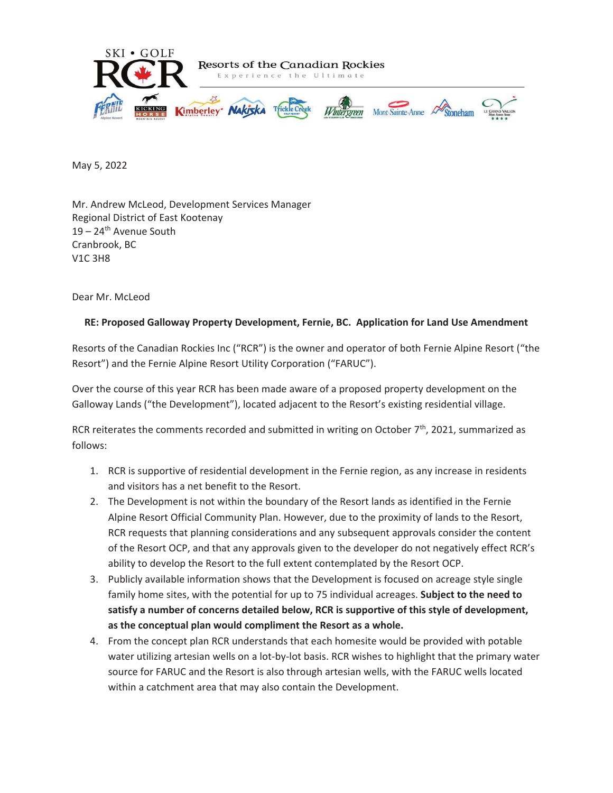

May 5, 2022

Mr. Andrew McLeod, Development Services Manager Regional District of East Kootenay 19 – 24<sup>th</sup> Avenue South Cranbrook, BC V1C 3H8

Dear Mr. McLeod

# **RE: Proposed Galloway Property Development, Fernie, BC. Application for Land Use Amendment**

Resorts of the Canadian Rockies Inc ("RCR") is the owner and operator of both Fernie Alpine Resort ("the Resort") and the Fernie Alpine Resort Utility Corporation ("FARUC").

Over the course of this year RCR has been made aware of a proposed property development on the Galloway Lands ("the Development"), located adjacent to the Resort's existing residential village.

RCR reiterates the comments recorded and submitted in writing on October  $7<sup>th</sup>$ , 2021, summarized as follows:

- 1. RCR is supportive of residential development in the Fernie region, as any increase in residents and visitors has a net benefit to the Resort.
- 2. The Development is not within the boundary of the Resort lands as identified in the Fernie Alpine Resort Official Community Plan. However, due to the proximity of lands to the Resort, RCR requests that planning considerations and any subsequent approvals consider the content of the Resort OCP, and that any approvals given to the developer do not negatively effect RCR's ability to develop the Resort to the full extent contemplated by the Resort OCP.
- 3. Publicly available information shows that the Development is focused on acreage style single family home sites, with the potential for up to 75 individual acreages. **Subject to the need to satisfy a number of concerns detailed below, RCR is supportive of this style of development, as the conceptual plan would compliment the Resort as a whole.**
- 4. From the concept plan RCR understands that each homesite would be provided with potable water utilizing artesian wells on a lot-by-lot basis. RCR wishes to highlight that the primary water source for FARUC and the Resort is also through artesian wells, with the FARUC wells located within a catchment area that may also contain the Development.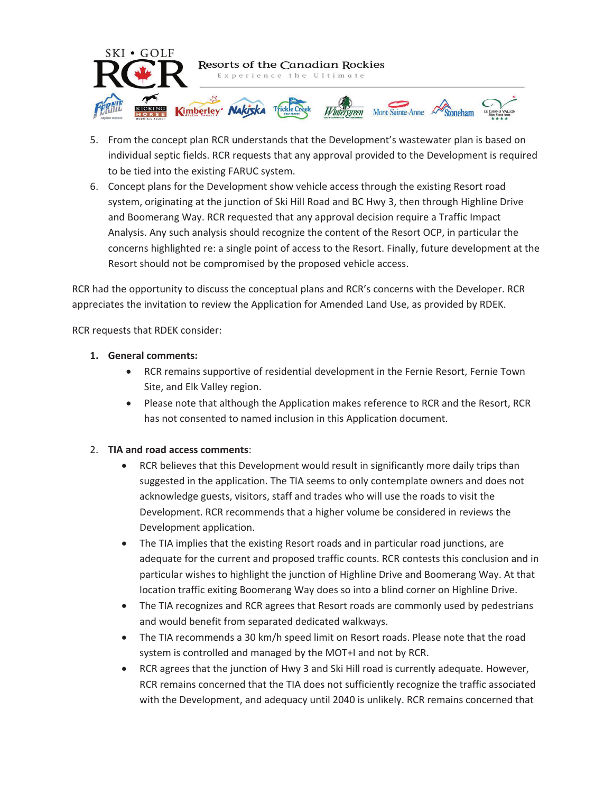

- 5. From the concept plan RCR understands that the Development's wastewater plan is based on individual septic fields. RCR requests that any approval provided to the Development is required to be tied into the existing FARUC system.
- 6. Concept plans for the Development show vehicle access through the existing Resort road system, originating at the junction of Ski Hill Road and BC Hwy 3, then through Highline Drive and Boomerang Way. RCR requested that any approval decision require a Traffic Impact Analysis. Any such analysis should recognize the content of the Resort OCP, in particular the concerns highlighted re: a single point of access to the Resort. Finally, future development at the Resort should not be compromised by the proposed vehicle access.

RCR had the opportunity to discuss the conceptual plans and RCR's concerns with the Developer. RCR appreciates the invitation to review the Application for Amended Land Use, as provided by RDEK.

RCR requests that RDEK consider:

- **1. General comments:** 
	- RCR remains supportive of residential development in the Fernie Resort, Fernie Town Site, and Elk Valley region.
	- Please note that although the Application makes reference to RCR and the Resort, RCR has not consented to named inclusion in this Application document.

#### 2. **TIA and road access comments**:

- RCR believes that this Development would result in significantly more daily trips than suggested in the application. The TIA seems to only contemplate owners and does not acknowledge guests, visitors, staff and trades who will use the roads to visit the Development. RCR recommends that a higher volume be considered in reviews the Development application.
- The TIA implies that the existing Resort roads and in particular road junctions, are adequate for the current and proposed traffic counts. RCR contests this conclusion and in particular wishes to highlight the junction of Highline Drive and Boomerang Way. At that location traffic exiting Boomerang Way does so into a blind corner on Highline Drive.
- The TIA recognizes and RCR agrees that Resort roads are commonly used by pedestrians and would benefit from separated dedicated walkways.
- The TIA recommends a 30 km/h speed limit on Resort roads. Please note that the road system is controlled and managed by the MOT+I and not by RCR.
- x RCR agrees that the junction of Hwy 3 and Ski Hill road is currently adequate. However, RCR remains concerned that the TIA does not sufficiently recognize the traffic associated with the Development, and adequacy until 2040 is unlikely. RCR remains concerned that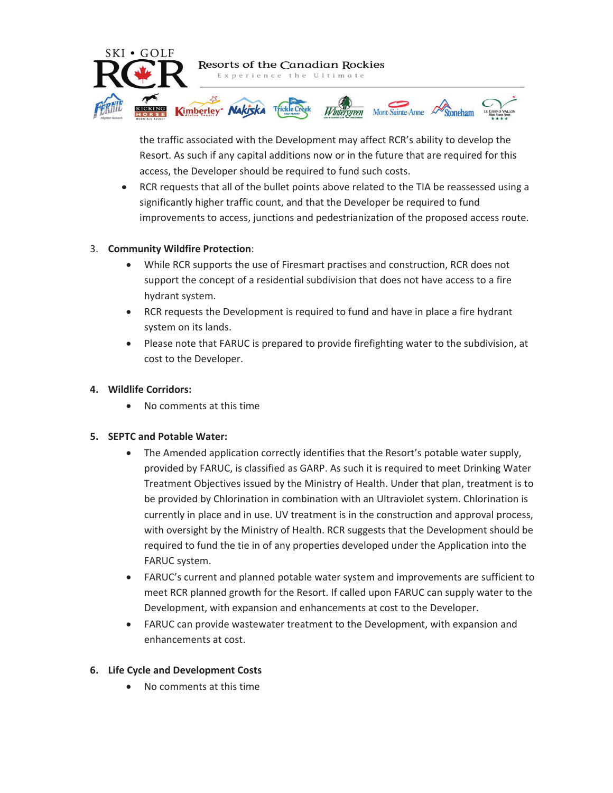

the traffic associated with the Development may affect RCR's ability to develop the Resort. As such if any capital additions now or in the future that are required for this access, the Developer should be required to fund such costs.

RCR requests that all of the bullet points above related to the TIA be reassessed using a significantly higher traffic count, and that the Developer be required to fund improvements to access, junctions and pedestrianization of the proposed access route.

# 3. **Community Wildfire Protection**:

- x While RCR supports the use of Firesmart practises and construction, RCR does not support the concept of a residential subdivision that does not have access to a fire hydrant system.
- RCR requests the Development is required to fund and have in place a fire hydrant system on its lands.
- Please note that FARUC is prepared to provide firefighting water to the subdivision, at cost to the Developer.

#### **4. Wildlife Corridors:**

• No comments at this time

# **5. SEPTC and Potable Water:**

- The Amended application correctly identifies that the Resort's potable water supply, provided by FARUC, is classified as GARP. As such it is required to meet Drinking Water Treatment Objectives issued by the Ministry of Health. Under that plan, treatment is to be provided by Chlorination in combination with an Ultraviolet system. Chlorination is currently in place and in use. UV treatment is in the construction and approval process, with oversight by the Ministry of Health. RCR suggests that the Development should be required to fund the tie in of any properties developed under the Application into the FARUC system.
- FARUC's current and planned potable water system and improvements are sufficient to meet RCR planned growth for the Resort. If called upon FARUC can supply water to the Development, with expansion and enhancements at cost to the Developer.
- FARUC can provide wastewater treatment to the Development, with expansion and enhancements at cost.

# **6. Life Cycle and Development Costs**

No comments at this time